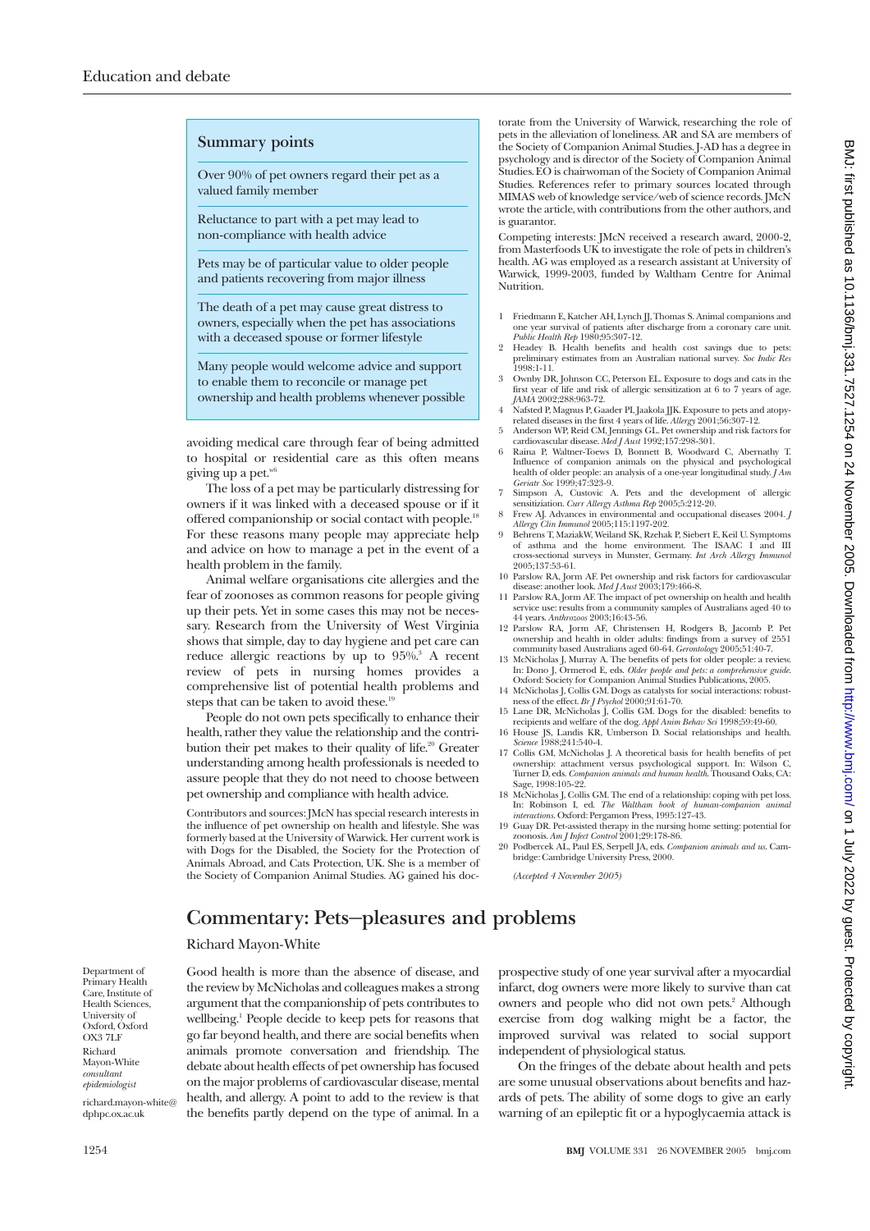## **Summary points**

Over 90% of pet owners regard their pet as a valued family member

Reluctance to part with a pet may lead to non-compliance with health advice

Pets may be of particular value to older people and patients recovering from major illness

The death of a pet may cause great distress to owners, especially when the pet has associations with a deceased spouse or former lifestyle

Many people would welcome advice and support to enable them to reconcile or manage pet ownership and health problems whenever possible

avoiding medical care through fear of being admitted to hospital or residential care as this often means giving up a pet. $w$ <sup>6</sup>

The loss of a pet may be particularly distressing for owners if it was linked with a deceased spouse or if it offered companionship or social contact with people.<sup>18</sup> For these reasons many people may appreciate help and advice on how to manage a pet in the event of a health problem in the family.

Animal welfare organisations cite allergies and the fear of zoonoses as common reasons for people giving up their pets. Yet in some cases this may not be necessary. Research from the University of West Virginia shows that simple, day to day hygiene and pet care can reduce allergic reactions by up to 95%.<sup>3</sup> A recent review of pets in nursing homes provides a comprehensive list of potential health problems and steps that can be taken to avoid these.<sup>19</sup>

People do not own pets specifically to enhance their health, rather they value the relationship and the contribution their pet makes to their quality of life.<sup>20</sup> Greater understanding among health professionals is needed to assure people that they do not need to choose between pet ownership and compliance with health advice.

Contributors and sources: JMcN has special research interests in the influence of pet ownership on health and lifestyle. She was formerly based at the University of Warwick. Her current work is with Dogs for the Disabled, the Society for the Protection of Animals Abroad, and Cats Protection, UK. She is a member of the Society of Companion Animal Studies. AG gained his doc-

torate from the University of Warwick, researching the role of pets in the alleviation of loneliness. AR and SA are members of the Society of Companion Animal Studies. J-AD has a degree in psychology and is director of the Society of Companion Animal Studies. EO is chairwoman of the Society of Companion Animal Studies. References refer to primary sources located through MIMAS web of knowledge service/web of science records. JMcN wrote the article, with contributions from the other authors, and is guarantor.

Competing interests: JMcN received a research award, 2000-2, from Masterfoods UK to investigate the role of pets in children's health. AG was employed as a research assistant at University of Warwick, 1999-2003, funded by Waltham Centre for Animal Nutrition.

- 1 Friedmann E, Katcher AH, Lynch JJ, Thomas S. Animal companions and<br>one year survival of patients after discharge from a coronary care unit.<br>*Public Health Rep* 1980;95:307-12.<br>2 Headey B. Health benefits and health cost
- preliminary estimates from an Australian national survey. *Soc Indic Res* 1998:1-11.
- 3 Ownby DR, Johnson CC, Peterson EL. Exposure to dogs and cats in the first year of life and risk of allergic sensitization at 6 to 7 years of age.
- *JAMA* 2002;288:963-72. 4 Nafsted P, Magnus P, Gaader PI, Jaakola JJK. Exposure to pets and atopy-
- related diseases in the first 4 years of life. *Allergy* 2001;56:307-12. 5 Anderson WP, Reid CM, Jennings GL. Pet ownership and risk factors for cardiovascular disease. *Med J Aust* 1992;157:298-301.
- 6 Raina P, Waltner-Toews D, Bonnett B, Woodward C, Abernathy T. Influence of companion animals on the physical and psychological health of older people: an analysis of a one-year longitudinal study. *J Am Geriatr Soc* 1999;47:323-9.<br>Simpson A. Custovic A. Pets and the development of allergic
- 
- 7 Simpson A, Custovic A. Pets and the development of allergic<br>sensitization. Curr Allergy Asthma Rep 2005;5:212-20.<br>8 Frew AJ. Advances in environmental and occupational diseases 2004. *J*<br>Allergy Clin Immunol 2005;115:119
- of asthma and the home environment. The ISAAC I and III cross-sectional surveys in Munster, Germany. *Int Arch Allergy Immunol* 2005;137:53-61.
- 10 Parslow RA, Jorm AF. Pet ownership and risk factors for cardiovascular disease: another look. *Med J Aust* 2003;179:466-8.
- 11 Parslow RA, Jorm AF. The impact of pet ownership on health and health service use: results from a community samples of Australians aged 40 to
- 44 years. *Anthrozoos* 2003;16:43-56. 12 Parslow RA, Jorm AF, Christensen H, Rodgers B, Jacomb P. Pet ownership and health in older adults: findings from a survey of 2551 community based Australians aged 60-64. *Gerontology* 2005;51:40-7.
- 13 McNicholas J, Murray A. The benefits of pets for older people: a review.<br>
In: Dono J, Ormerod E, eds. Older people and pets: a comprehensive guide.<br>
Oxford: Society for Companion Animal Studies Publications, 2005.<br>
14
- 
- *Science* 1988;241:540-4.
- 17 Collis GM, McNicholas J. A theoretical basis for health benefits of pet ownership: attachment versus psychological support. In: Wilson C, Turner D, eds. *Companion animals and human health*. Thousand Oaks, CA: Sage, 1998:105-22.
- 18 McNicholas J, Collis GM. The end of a relationship: coping with pet loss. In: Robinson I, ed. *The Waltham book of human-companion animal interactions*. Oxford: Pergamon Press, 1995:127-43. 19 Guay DR. Pet-assisted therapy in the nursing home setting: potential for
- zoonosis. *Am J Infect Control* 2001;29:178-86. 20 Podbercek AL, Paul ES, Serpell JA, eds. *Companion animals and us*. Cam-
- bridge: Cambridge University Press, 2000.

*(Accepted 4 November 2005)*

## **Commentary: Pets—pleasures and problems**

## Richard Mayon-White

Good health is more than the absence of disease, and the review by McNicholas and colleagues makes a strong argument that the companionship of pets contributes to wellbeing.<sup>1</sup> People decide to keep pets for reasons that go far beyond health, and there are social benefits when animals promote conversation and friendship. The debate about health effects of pet ownership has focused on the major problems of cardiovascular disease, mental health, and allergy. A point to add to the review is that the benefits partly depend on the type of animal. In a prospective study of one year survival after a myocardial infarct, dog owners were more likely to survive than cat owners and people who did not own pets.<sup>2</sup> Although exercise from dog walking might be a factor, the improved survival was related to social support independent of physiological status.

On the fringes of the debate about health and pets are some unusual observations about benefits and hazards of pets. The ability of some dogs to give an early warning of an epileptic fit or a hypoglycaemia attack is

Department of Primary Health Care, Institute of Health Sciences. University of Oxford, Oxford OX3 7LF Richard Mayon-White *consultant epidemiologist*

richard.mayon-white@ dphpc.ox.ac.uk